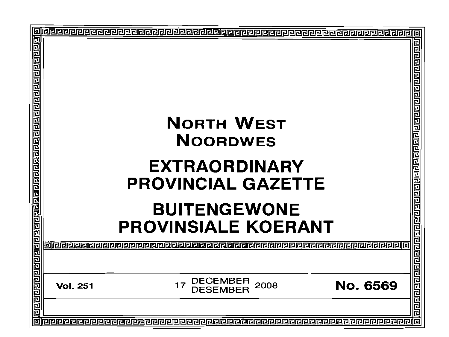| <u> बोनियन प्रविणिक विश्वान पटा मानवान नामका नामका नामका नामका नामका नामका निर्माण</u> |                                                                                                | 回<br>اقاقاقاقاقا واقافا والماقاق والمواقاة والمواقاة والمواقاة والمواقاة والمواقاة والمواقا |
|----------------------------------------------------------------------------------------|------------------------------------------------------------------------------------------------|---------------------------------------------------------------------------------------------|
|                                                                                        | <b>NORTH WEST</b><br><b>NOORDWES</b>                                                           |                                                                                             |
|                                                                                        | <b>EXTRAORDINARY</b><br><b>PROVINCIAL GAZETTE</b>                                              |                                                                                             |
|                                                                                        | <b>BUITENGEWONE</b><br><b>PROVINSIALE KOERANT</b>                                              |                                                                                             |
|                                                                                        | <b>o le electro electro electro de la controla del control de la controla de la control de</b> |                                                                                             |
|                                                                                        | DECEMBER<br>No. 6569<br>2008<br><b>Vol. 251</b><br><b>DESEMBER</b>                             |                                                                                             |
|                                                                                        |                                                                                                | 回                                                                                           |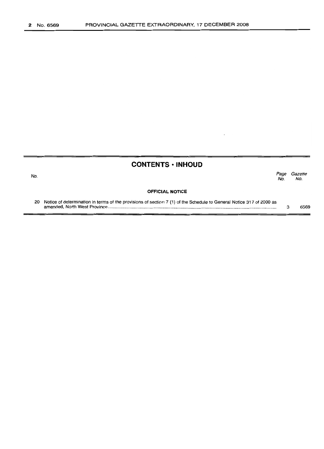No.

## **CONTENTS • INHOUD**

*Page Gazette* No. No.

#### **OFFICIAL NOTICE**

20 Notice of determination in terms of the provisions of section 7 (1) of the Schedule to General Notice 317 of 2000 as amended, North West Province . 3 6569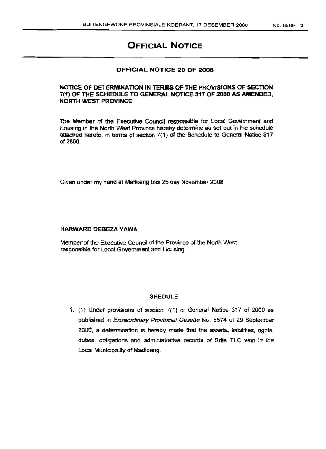# **OFFICIAL NOTICE**

## OFFICIAL NOTICE 20 OF 2008

### NOTICE OF DETERMINATION IN TERMSOF THE PROVJSIONS OF SECTION 7{1) OF THE SCHEDULE TO GENERAl NOTICE317 OF 2000 AS AMENDED. NORTH WEST PROVINCE

The Member of the Executive Council responsible for Local Government and Housing in the North West Province herehy determine as set out in the schedule attsched hereto, in terms of section 7(1) of the Schedule to General Notice 317 o.f 2000.

Given under my hand at Mafikeng this 25 day November 2008.

#### HARWARD DEBEZA YAWA

Member of the Executive Council of the Province of the North West responsible for Local Government and Housing

#### SHEOULE

1. (1) Under provisions of section 7(1) of General Notice 317 of 2000 as published in Extraordinary Provincial Gazette No. 5574 of 29 September 2000, a determination is hereby made that the assets, liabilities, rights, duties, obligations and administrative records of Brits TLC vest in the Local Municipality of Madibeng.